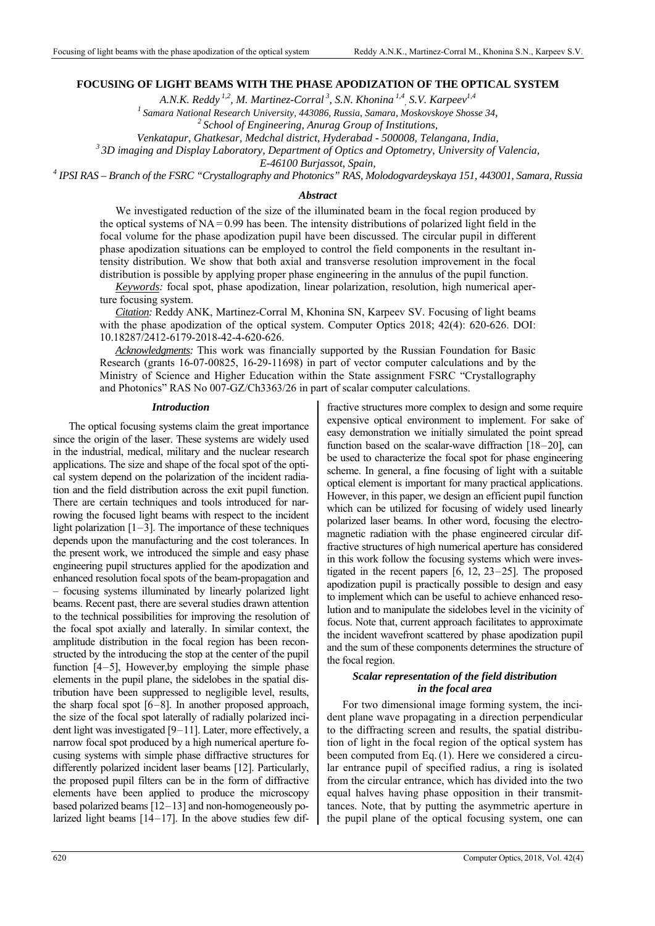# **FOCUSING OF LIGHT BEAMS WITH THE PHASE APODIZATION OF THE OPTICAL SYSTEM**

A.N.K. Reddy<sup>1,2</sup>, M. Martinez-Corral<sup>3</sup>, S.N. Khonina<sup>1,4</sup>, S.V. Karpeev<sup>1,4</sup>

*1 Samara National Research University, 443086, Russia, Samara, Moskovskoye Shosse 34, 2 School of Engineering, Anurag Group of Institutions,* 

*Venkatapur, Ghatkesar, Medchal district, Hyderabad - 500008, Telangana, India,*<br><sup>3</sup> 3D imaging and Display Laboratory, Department of Optics and Optometry, University of Valencia,

*E-46100 Burjassot, Spain, 4 IPSI RAS – Branch of the FSRC "Crystallography and Photonics" RAS, Molodogvardeyskaya 151, 443001, Samara, Russia* 

## *Abstract*

We investigated reduction of the size of the illuminated beam in the focal region produced by the optical systems of  $NA = 0.99$  has been. The intensity distributions of polarized light field in the focal volume for the phase apodization pupil have been discussed. The circular pupil in different phase apodization situations can be employed to control the field components in the resultant intensity distribution. We show that both axial and transverse resolution improvement in the focal distribution is possible by applying proper phase engineering in the annulus of the pupil function.

*Keywords:* focal spot, phase apodization, linear polarization, resolution, high numerical aperture focusing system.

*Citation:* Reddy ANK, Martinez-Corral M, Khonina SN, Karpeev SV. Focusing of light beams with the phase apodization of the optical system. Computer Optics 2018; 42(4): 620-626. DOI: 10.18287/2412-6179-2018-42-4-620-626.

*Acknowledgments:* This work was financially supported by the Russian Foundation for Basic Research (grants 16-07-00825, 16-29-11698) in part of vector computer calculations and by the Ministry of Science and Higher Education within the State assignment FSRC "Crystallography and Photonics" RAS No 007-GZ/Ch3363/26 in part of scalar computer calculations.

### *Introduction*

The optical focusing systems claim the great importance since the origin of the laser. These systems are widely used in the industrial, medical, military and the nuclear research applications. The size and shape of the focal spot of the optical system depend on the polarization of the incident radiation and the field distribution across the exit pupil function. There are certain techniques and tools introduced for narrowing the focused light beams with respect to the incident light polarization  $[1-3]$ . The importance of these techniques depends upon the manufacturing and the cost tolerances. In the present work, we introduced the simple and easy phase engineering pupil structures applied for the apodization and enhanced resolution focal spots of the beam-propagation and – focusing systems illuminated by linearly polarized light beams. Recent past, there are several studies drawn attention to the technical possibilities for improving the resolution of the focal spot axially and laterally. In similar context, the amplitude distribution in the focal region has been reconstructed by the introducing the stop at the center of the pupil function [4–5], However,by employing the simple phase elements in the pupil plane, the sidelobes in the spatial distribution have been suppressed to negligible level, results, the sharp focal spot [6–8]. In another proposed approach, the size of the focal spot laterally of radially polarized incident light was investigated [9–11]. Later, more effectively, a narrow focal spot produced by a high numerical aperture focusing systems with simple phase diffractive structures for differently polarized incident laser beams [12]. Particularly, the proposed pupil filters can be in the form of diffractive elements have been applied to produce the microscopy based polarized beams [12–13] and non-homogeneously polarized light beams [14–17]. In the above studies few difexpensive optical environment to implement. For sake of easy demonstration we initially simulated the point spread function based on the scalar-wave diffraction [18–20], can be used to characterize the focal spot for phase engineering scheme. In general, a fine focusing of light with a suitable optical element is important for many practical applications. However, in this paper, we design an efficient pupil function which can be utilized for focusing of widely used linearly polarized laser beams. In other word, focusing the electromagnetic radiation with the phase engineered circular diffractive structures of high numerical aperture has considered in this work follow the focusing systems which were investigated in the recent papers [6, 12, 23–25]. The proposed apodization pupil is practically possible to design and easy to implement which can be useful to achieve enhanced resolution and to manipulate the sidelobes level in the vicinity of focus. Note that, current approach facilitates to approximate the incident wavefront scattered by phase apodization pupil and the sum of these components determines the structure of the focal region. *Scalar representation of the field distribution in the focal area* 

fractive structures more complex to design and some require

For two dimensional image forming system, the incident plane wave propagating in a direction perpendicular to the diffracting screen and results, the spatial distribution of light in the focal region of the optical system has been computed from Eq.(1). Here we considered a circular entrance pupil of specified radius, a ring is isolated from the circular entrance, which has divided into the two equal halves having phase opposition in their transmittances. Note, that by putting the asymmetric aperture in the pupil plane of the optical focusing system, one can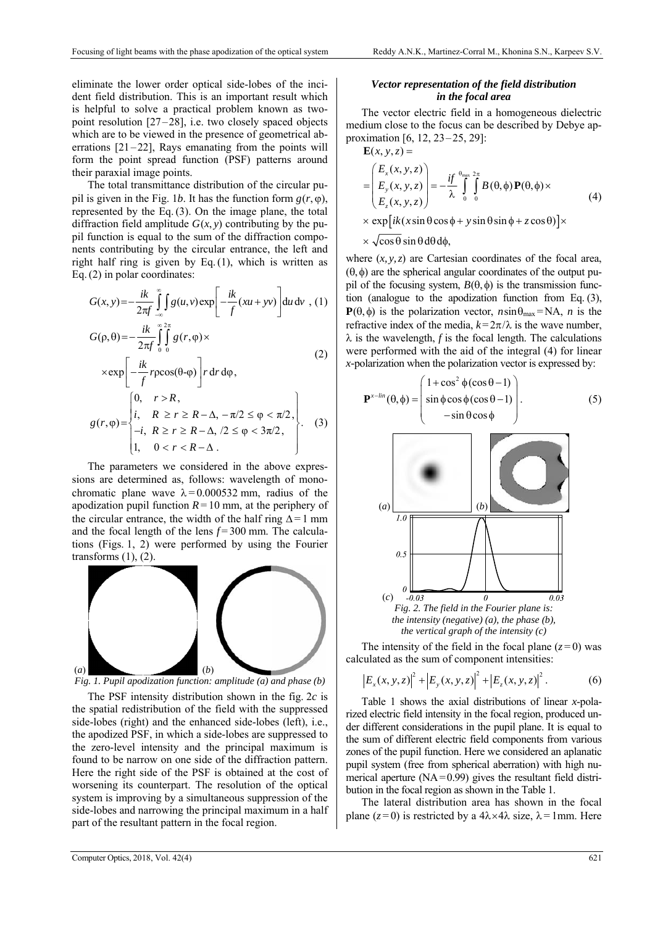eliminate the lower order optical side-lobes of the incident field distribution. This is an important result which is helpful to solve a practical problem known as twopoint resolution [27–28], i.e. two closely spaced objects which are to be viewed in the presence of geometrical aberrations  $[21-22]$ , Rays emanating from the points will form the point spread function (PSF) patterns around their paraxial image points.

The total transmittance distribution of the circular pupil is given in the Fig. 1*b*. It has the function form  $g(r, \varphi)$ , represented by the Eq.(3). On the image plane, the total diffraction field amplitude  $G(x, y)$  contributing by the pupil function is equal to the sum of the diffraction components contributing by the circular entrance, the left and right half ring is given by Eq.(1), which is written as Eq.(2) in polar coordinates:

$$
G(x, y) = -\frac{ik}{2\pi f} \int_{-\infty}^{\infty} \int g(u, v) \exp\left[-\frac{ik}{f}(xu + yv)\right] du dv , (1)
$$
  
\n
$$
G(\rho, \theta) = -\frac{ik}{2\pi f} \int_{0}^{\infty} \int_{0}^{2\pi} g(r, \phi) \times
$$
  
\n
$$
\times \exp\left[-\frac{ik}{f} r \rho \cos(\theta - \phi)\right] r dr d\phi,
$$
\n(2)

$$
g(r,\varphi) = \begin{cases} 0, & r > R, \\ i, & R \ge r \ge R - \Delta, -\pi/2 \le \varphi < \pi/2, \\ -i, & R \ge r \ge R - \Delta, /2 \le \varphi < 3\pi/2, \\ 1, & 0 < r < R - \Delta. \end{cases}
$$
 (3)

The parameters we considered in the above expressions are determined as, follows: wavelength of monochromatic plane wave  $\lambda = 0.000532$  mm, radius of the apodization pupil function  $R = 10$  mm, at the periphery of the circular entrance, the width of the half ring  $\Delta = 1$  mm and the focal length of the lens  $f = 300$  mm. The calculations (Figs. 1, 2) were performed by using the Fourier transforms  $(1)$ ,  $(2)$ .



*Fig. 1. Pupil apodization function: amplitude (a) and phase (b)* 

The PSF intensity distribution shown in the fig. 2*c* is the spatial redistribution of the field with the suppressed side-lobes (right) and the enhanced side-lobes (left), i.e., the apodized PSF, in which a side-lobes are suppressed to the zero-level intensity and the principal maximum is found to be narrow on one side of the diffraction pattern. Here the right side of the PSF is obtained at the cost of worsening its counterpart. The resolution of the optical system is improving by a simultaneous suppression of the side-lobes and narrowing the principal maximum in a half part of the resultant pattern in the focal region.

# *Vector representation of the field distribution in the focal area*

The vector electric field in a homogeneous dielectric medium close to the focus can be described by Debye approximation [6, 12, 23–25, 29]:

$$
\mathbf{E}(x, y, z) =
$$
\n
$$
= \begin{pmatrix} E_x(x, y, z) \\ E_y(x, y, z) \\ E_z(x, y, z) \end{pmatrix} = -\frac{if}{\lambda} \int_0^{\theta_{\text{max}} 2\pi} B(\theta, \phi) \mathbf{P}(\theta, \phi) \times
$$
\n
$$
\times \exp[i k(x \sin \theta \cos \phi + y \sin \theta \sin \phi + z \cos \theta)] \times
$$
\n
$$
\times \sqrt{\cos \theta} \sin \theta \, d\theta \, d\phi,
$$
\n(4)

where  $(x, y, z)$  are Cartesian coordinates of the focal area, (θ,φ) are the spherical angular coordinates of the output pupil of the focusing system,  $B(\theta, \phi)$  is the transmission function (analogue to the apodization function from Eq. (3), **P**( $\theta$ , $\phi$ ) is the polarization vector,  $n\sin\theta_{\text{max}} = NA$ ,  $n$  is the refractive index of the media,  $k = 2\pi/\lambda$  is the wave number,  $\lambda$  is the wavelength, *f* is the focal length. The calculations were performed with the aid of the integral (4) for linear *x-*polarization when the polarization vector is expressed by:

$$
\mathbf{P}^{x-lin}(\theta,\phi) = \begin{pmatrix} 1+\cos^2\phi(\cos\theta-1) \\ \sin\phi\cos\phi(\cos\theta-1) \\ -\sin\theta\cos\phi \end{pmatrix}.
$$
 (5)



The intensity of the field in the focal plane  $(z=0)$  was calculated as the sum of component intensities:

$$
\left|E_x(x, y, z)\right|^2 + \left|E_y(x, y, z)\right|^2 + \left|E_z(x, y, z)\right|^2. \tag{6}
$$

Table 1 shows the axial distributions of linear *x*-polarized electric field intensity in the focal region, produced under different considerations in the pupil plane. It is equal to the sum of different electric field components from various zones of the pupil function. Here we considered an aplanatic pupil system (free from spherical aberration) with high numerical aperture  $(NA=0.99)$  gives the resultant field distribution in the focal region as shown in the Table 1.

The lateral distribution area has shown in the focal plane ( $z = 0$ ) is restricted by a  $4\lambda \times 4\lambda$  size,  $\lambda = 1$ mm. Here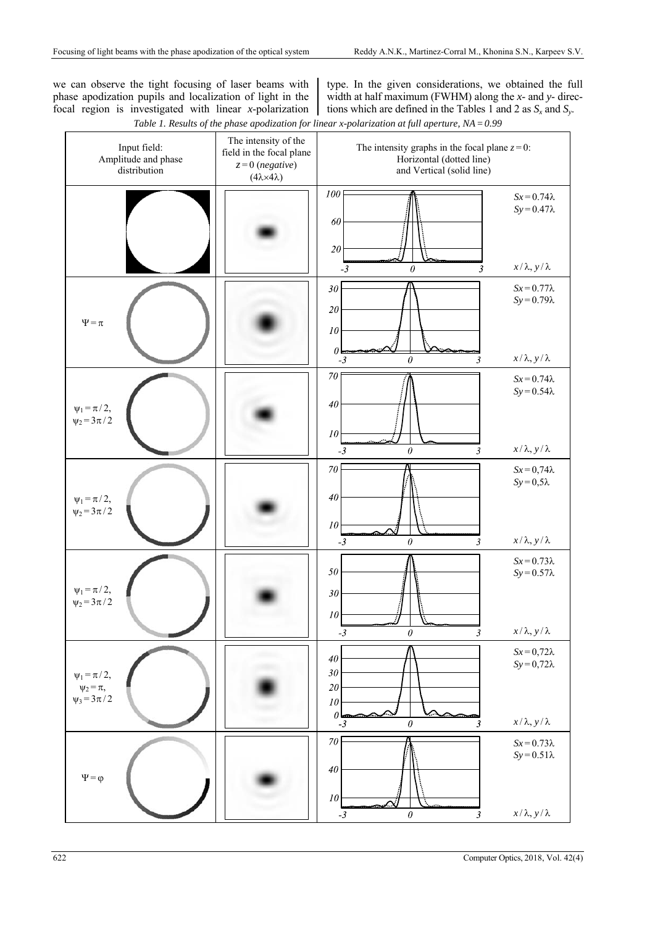we can observe the tight focusing of laser beams with phase apodization pupils and localization of light in the focal region is investigated with linear *x*-polarization

type. In the given considerations, we obtained the full width at half maximum (FWHM) along the *x*- and *y*- directions which are defined in the Tables 1 and 2 as  $S_x$  and  $S_y$ .

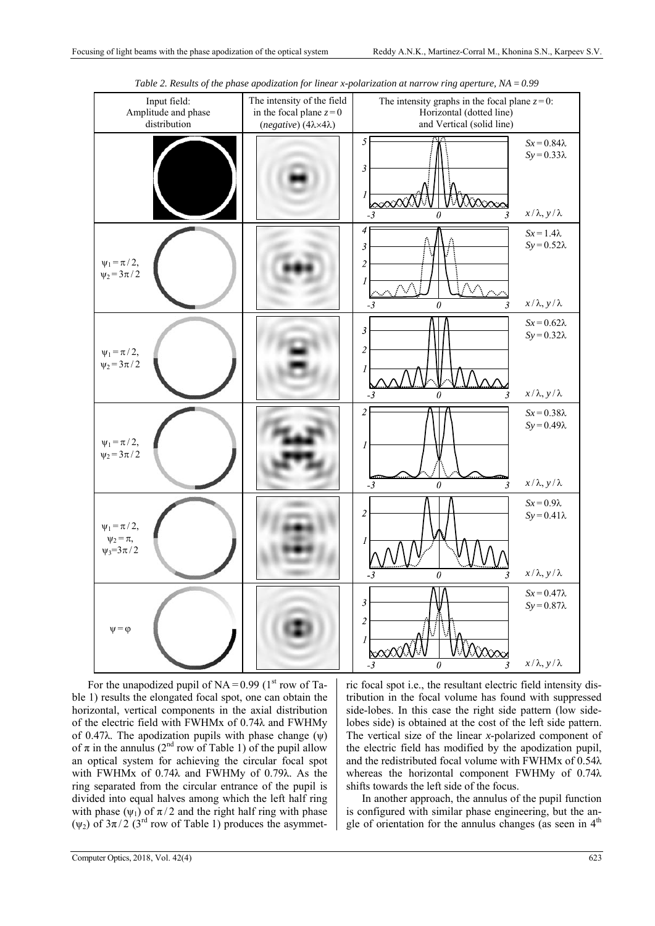| Input field:<br>Amplitude and phase<br>distribution          | The intensity of the field<br>in the focal plane $z=0$<br>(negative) (4λ×4λ) | The intensity graphs in the focal plane $z=0$ :<br>Horizontal (dotted line)<br>and Vertical (solid line) |                                                                    |
|--------------------------------------------------------------|------------------------------------------------------------------------------|----------------------------------------------------------------------------------------------------------|--------------------------------------------------------------------|
|                                                              |                                                                              | 5<br>3                                                                                                   | $Sx = 0.84\lambda$<br>$Sy = 0.33\lambda$                           |
|                                                              |                                                                              | $-3$<br>ſ)<br>4                                                                                          | $x/\lambda$ , $y/\lambda$                                          |
| $\Psi_1 = \pi / 2$ ,<br>$\psi_2 = 3\pi/2$                    |                                                                              | 3<br>$\overline{2}$<br>1<br>$\sim$                                                                       | $Sx = 1.4\lambda$<br>$Sy = 0.52\lambda$                            |
|                                                              |                                                                              | $\theta$<br>3<br>$-3$                                                                                    | $x/\lambda$ , $y/\lambda$                                          |
| $\Psi_1 = \pi / 2$ ,<br>$\psi_2 = 3\pi/2$                    |                                                                              | $\mathfrak{Z}$<br>$\overline{2}$                                                                         | $Sx = 0.62\lambda$<br>$Sy = 0.32\lambda$                           |
|                                                              |                                                                              | 0<br>- 3<br>3                                                                                            | $x/\lambda$ , $y/\lambda$                                          |
| $\Psi_1 = \pi / 2$ ,<br>$\psi_2 = 3\pi/2$                    |                                                                              | 2<br>1                                                                                                   | $Sx = 0.38\lambda$<br>$Sy = 0.49\lambda$                           |
|                                                              |                                                                              | $-3$<br>$\theta$<br>3                                                                                    | $x/\lambda$ , $y/\lambda$                                          |
| $\psi_1 = \pi / 2,$<br>$\psi_2 = \pi$ ,<br>$\psi_3 = 3\pi/2$ |                                                                              | 2                                                                                                        | $Sx = 0.9\lambda$<br>$Sy = 0.41\lambda$<br>$x/\lambda, y/\lambda$  |
|                                                              |                                                                              | $\boldsymbol{\theta}$<br>$-3$<br>3                                                                       |                                                                    |
| $\psi = \varphi$                                             |                                                                              | $\mathfrak{Z}$<br>2<br>V<br>1<br>$\sim$<br>then<br>$\boldsymbol{\theta}$                                 | $Sx = 0.47\lambda$<br>$Sy = 0.87\lambda$<br>$x/\lambda, y/\lambda$ |

*Table 2. Results of the phase apodization for linear x-polarization at narrow ring aperture, NA=0.99* 

For the unapodized pupil of  $NA = 0.99$  (1<sup>st</sup> row of Table 1) results the elongated focal spot, one can obtain the horizontal, vertical components in the axial distribution of the electric field with FWHMx of 0.74λ and FWHMy of 0.47 $\lambda$ . The apodization pupils with phase change ( $\psi$ ) of  $\pi$  in the annulus (2<sup>nd</sup> row of Table 1) of the pupil allow an optical system for achieving the circular focal spot with FWHMx of 0.74λ and FWHMy of 0.79λ. As the ring separated from the circular entrance of the pupil is divided into equal halves among which the left half ring with phase  $(\psi_1)$  of  $\pi/2$  and the right half ring with phase (ψ<sub>2</sub>) of  $3π/2$  (3<sup>rd</sup> row of Table 1) produces the asymmet-

ric focal spot i.e., the resultant electric field intensity distribution in the focal volume has found with suppressed side-lobes. In this case the right side pattern (low sidelobes side) is obtained at the cost of the left side pattern. The vertical size of the linear *x*-polarized component of the electric field has modified by the apodization pupil, and the redistributed focal volume with FWHMx of 0.54λ whereas the horizontal component FWHMy of 0.74λ shifts towards the left side of the focus.

In another approach, the annulus of the pupil function is configured with similar phase engineering, but the angle of orientation for the annulus changes (as seen in  $4<sup>th</sup>$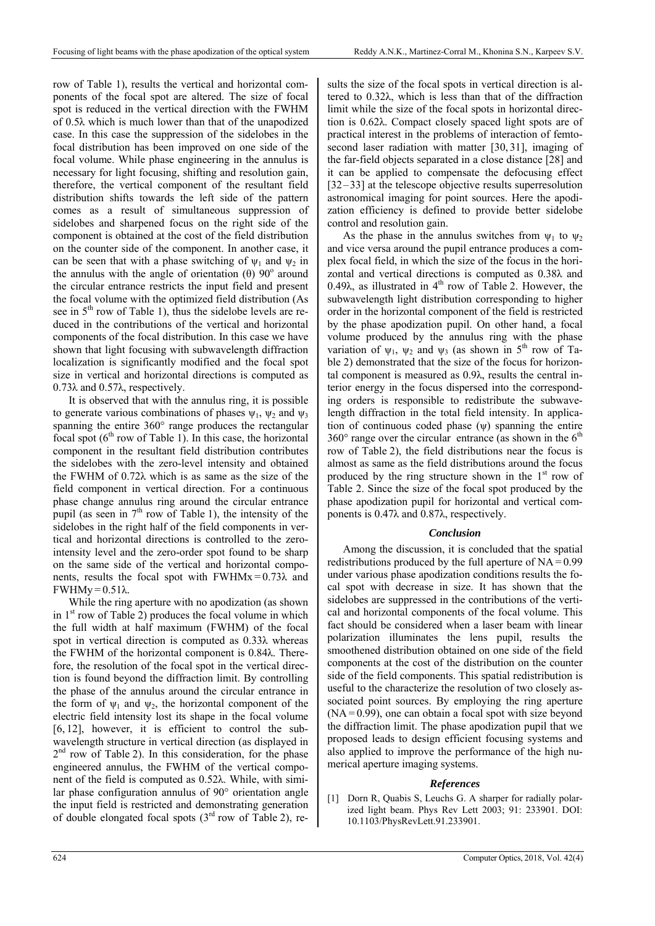row of Table 1), results the vertical and horizontal components of the focal spot are altered. The size of focal spot is reduced in the vertical direction with the FWHM of 0.5λ which is much lower than that of the unapodized case. In this case the suppression of the sidelobes in the focal distribution has been improved on one side of the focal volume. While phase engineering in the annulus is necessary for light focusing, shifting and resolution gain, therefore, the vertical component of the resultant field distribution shifts towards the left side of the pattern comes as a result of simultaneous suppression of sidelobes and sharpened focus on the right side of the component is obtained at the cost of the field distribution on the counter side of the component. In another case, it can be seen that with a phase switching of  $\psi_1$  and  $\psi_2$  in the annulus with the angle of orientation  $(θ)$  90 $^{\circ}$  around the circular entrance restricts the input field and present the focal volume with the optimized field distribution (As see in  $5<sup>th</sup>$  row of Table 1), thus the sidelobe levels are reduced in the contributions of the vertical and horizontal components of the focal distribution. In this case we have shown that light focusing with subwavelength diffraction localization is significantly modified and the focal spot size in vertical and horizontal directions is computed as 0.73λ and 0.57λ, respectively.

It is observed that with the annulus ring, it is possible to generate various combinations of phases  $\psi_1$ ,  $\psi_2$  and  $\psi_3$ spanning the entire 360° range produces the rectangular focal spot  $(6<sup>th</sup>$  row of Table 1). In this case, the horizontal component in the resultant field distribution contributes the sidelobes with the zero-level intensity and obtained the FWHM of 0.72λ which is as same as the size of the field component in vertical direction. For a continuous phase change annulus ring around the circular entrance pupil (as seen in  $7<sup>th</sup>$  row of Table 1), the intensity of the sidelobes in the right half of the field components in vertical and horizontal directions is controlled to the zerointensity level and the zero-order spot found to be sharp on the same side of the vertical and horizontal components, results the focal spot with  $FWHMx = 0.73\lambda$  and FWHMy = 0.51λ.

While the ring aperture with no apodization (as shown in  $1<sup>st</sup>$  row of Table 2) produces the focal volume in which the full width at half maximum (FWHM) of the focal spot in vertical direction is computed as 0.33λ whereas the FWHM of the horizontal component is 0.84λ. Therefore, the resolution of the focal spot in the vertical direction is found beyond the diffraction limit. By controlling the phase of the annulus around the circular entrance in the form of  $\psi_1$  and  $\psi_2$ , the horizontal component of the electric field intensity lost its shape in the focal volume [6, 12], however, it is efficient to control the subwavelength structure in vertical direction (as displayed in  $2<sup>nd</sup>$  row of Table 2). In this consideration, for the phase engineered annulus, the FWHM of the vertical component of the field is computed as 0.52λ. While, with similar phase configuration annulus of 90° orientation angle the input field is restricted and demonstrating generation of double elongated focal spots  $(3<sup>rd</sup> row of Table 2)$ , results the size of the focal spots in vertical direction is altered to 0.32λ, which is less than that of the diffraction limit while the size of the focal spots in horizontal direction is 0.62λ. Compact closely spaced light spots are of practical interest in the problems of interaction of femtosecond laser radiation with matter [30, 31], imaging of the far-field objects separated in a close distance [28] and it can be applied to compensate the defocusing effect [32–33] at the telescope objective results superresolution astronomical imaging for point sources. Here the apodization efficiency is defined to provide better sidelobe control and resolution gain.

As the phase in the annulus switches from  $\psi_1$  to  $\psi_2$ and vice versa around the pupil entrance produces a complex focal field, in which the size of the focus in the horizontal and vertical directions is computed as 0.38λ and 0.49λ, as illustrated in  $4<sup>th</sup>$  row of Table 2. However, the subwavelength light distribution corresponding to higher order in the horizontal component of the field is restricted by the phase apodization pupil. On other hand, a focal volume produced by the annulus ring with the phase variation of  $\psi_1$ ,  $\psi_2$  and  $\psi_3$  (as shown in 5<sup>th</sup> row of Table 2) demonstrated that the size of the focus for horizontal component is measured as 0.9λ, results the central interior energy in the focus dispersed into the corresponding orders is responsible to redistribute the subwavelength diffraction in the total field intensity. In application of continuous coded phase  $(\psi)$  spanning the entire  $360^{\circ}$  range over the circular entrance (as shown in the  $6^{\text{th}}$ ) row of Table 2), the field distributions near the focus is almost as same as the field distributions around the focus produced by the ring structure shown in the  $1<sup>st</sup>$  row of Table 2. Since the size of the focal spot produced by the phase apodization pupil for horizontal and vertical components is 0.47λ and 0.87λ, respectively.

### *Conclusion*

Among the discussion, it is concluded that the spatial redistributions produced by the full aperture of  $NA = 0.99$ under various phase apodization conditions results the focal spot with decrease in size. It has shown that the sidelobes are suppressed in the contributions of the vertical and horizontal components of the focal volume. This fact should be considered when a laser beam with linear polarization illuminates the lens pupil, results the smoothened distribution obtained on one side of the field components at the cost of the distribution on the counter side of the field components. This spatial redistribution is useful to the characterize the resolution of two closely associated point sources. By employing the ring aperture  $(NA = 0.99)$ , one can obtain a focal spot with size beyond the diffraction limit. The phase apodization pupil that we proposed leads to design efficient focusing systems and also applied to improve the performance of the high numerical aperture imaging systems.

#### *References*

[1] Dorn R, Quabis S, Leuchs G. A sharper for radially polarized light beam. Phys Rev Lett 2003; 91: 233901. DOI: 10.1103/PhysRevLett.91.233901.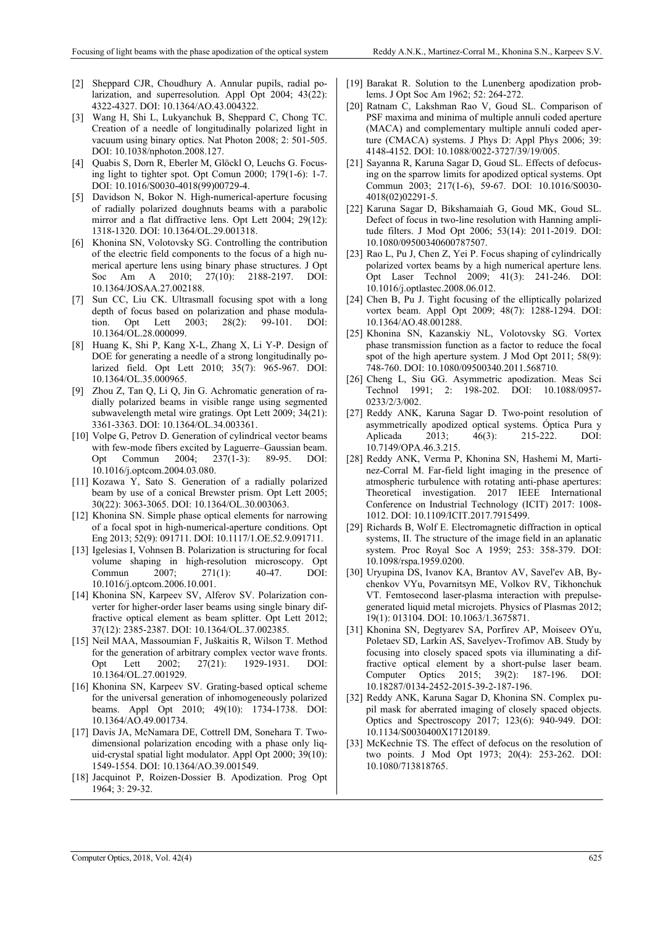- [2] Sheppard CJR, Choudhury A. Annular pupils, radial polarization, and superresolution. Appl Opt 2004; 43(22): 4322-4327. DOI: 10.1364/AO.43.004322.
- [3] Wang H, Shi L, Lukyanchuk B, Sheppard C, Chong TC. Creation of a needle of longitudinally polarized light in vacuum using binary optics. Nat Photon 2008; 2: 501-505. DOI: 10.1038/nphoton.2008.127.
- [4] Quabis S, Dorn R, Eberler M, Glöckl O, Leuchs G. Focusing light to tighter spot. Opt Comun 2000; 179(1-6): 1-7. DOI: 10.1016/S0030-4018(99)00729-4.
- [5] Davidson N, Bokor N. High-numerical-aperture focusing of radially polarized doughnuts beams with a parabolic mirror and a flat diffractive lens. Opt Lett 2004; 29(12): 1318-1320. DOI: 10.1364/OL.29.001318.
- [6] Khonina SN, Volotovsky SG. Controlling the contribution of the electric field components to the focus of a high numerical aperture lens using binary phase structures. J Opt Soc Am A 2010; 27(10): 2188-2197. DOI: 10.1364/JOSAA.27.002188.
- [7] Sun CC, Liu CK. Ultrasmall focusing spot with a long depth of focus based on polarization and phase modulation. Opt Lett 2003; 28(2): 99-101. DOI: 10.1364/OL.28.000099.
- [8] Huang K, Shi P, Kang X-L, Zhang X, Li Y-P. Design of DOE for generating a needle of a strong longitudinally polarized field. Opt Lett 2010; 35(7): 965-967. DOI: 10.1364/OL.35.000965.
- [9] Zhou Z, Tan Q, Li Q, Jin G. Achromatic generation of radially polarized beams in visible range using segmented subwavelength metal wire gratings. Opt Lett 2009; 34(21): 3361-3363. DOI: 10.1364/OL.34.003361.
- [10] Volpe G, Petrov D. Generation of cylindrical vector beams with few-mode fibers excited by Laguerre–Gaussian beam. Opt Commun 2004; 237(1-3): 89-95. DOI: 10.1016/j.optcom.2004.03.080.
- [11] Kozawa Y, Sato S. Generation of a radially polarized beam by use of a conical Brewster prism. Opt Lett 2005; 30(22): 3063-3065. DOI: 10.1364/OL.30.003063.
- [12] Khonina SN. Simple phase optical elements for narrowing of a focal spot in high-numerical-aperture conditions. Opt Eng 2013; 52(9): 091711. DOI: 10.1117/1.OE.52.9.091711.
- [13] Igelesias I, Vohnsen B. Polarization is structuring for focal volume shaping in high-resolution microscopy. Opt Commun 2007; 271(1): 40-47. DOI: 10.1016/j.optcom.2006.10.001.
- [14] Khonina SN, Karpeev SV, Alferov SV. Polarization converter for higher-order laser beams using single binary diffractive optical element as beam splitter. Opt Lett 2012; 37(12): 2385-2387. DOI: 10.1364/OL.37.002385.
- [15] Neil MAA, Massoumian F, Juškaitis R, Wilson T. Method for the generation of arbitrary complex vector wave fronts. Opt Lett 2002; 27(21): 1929-1931. DOI: 10.1364/OL.27.001929.
- [16] Khonina SN, Karpeev SV. Grating-based optical scheme for the universal generation of inhomogeneously polarized beams. Appl Opt 2010; 49(10): 1734-1738. DOI: 10.1364/AO.49.001734.
- [17] Davis JA, McNamara DE, Cottrell DM, Sonehara T. Twodimensional polarization encoding with a phase only liquid-crystal spatial light modulator. Appl Opt 2000; 39(10): 1549-1554. DOI: 10.1364/AO.39.001549.
- [18] Jacquinot P, Roizen-Dossier B. Apodization. Prog Opt 1964; 3: 29-32.
- [19] Barakat R. Solution to the Lunenberg apodization problems. J Opt Soc Am 1962; 52: 264-272.
- [20] Ratnam C, Lakshman Rao V, Goud SL. Comparison of PSF maxima and minima of multiple annuli coded aperture (MACA) and complementary multiple annuli coded aperture (CMACA) systems. J Phys D: Appl Phys 2006; 39: 4148-4152. DOI: 10.1088/0022-3727/39/19/005.
- [21] Sayanna R, Karuna Sagar D, Goud SL. Effects of defocusing on the sparrow limits for apodized optical systems. Opt Commun 2003; 217(1-6), 59-67. DOI: 10.1016/S0030- 4018(02)02291-5.
- [22] Karuna Sagar D, Bikshamaiah G, Goud MK, Goud SL. Defect of focus in two-line resolution with Hanning amplitude filters. J Mod Opt 2006; 53(14): 2011-2019. DOI: 10.1080/09500340600787507.
- [23] Rao L, Pu J, Chen Z, Yei P. Focus shaping of cylindrically polarized vortex beams by a high numerical aperture lens. Opt Laser Technol 2009; 41(3): 241-246. DOI: 10.1016/j.optlastec.2008.06.012.
- [24] Chen B, Pu J. Tight focusing of the elliptically polarized vortex beam. Appl Opt 2009; 48(7): 1288-1294. DOI: 10.1364/AO.48.001288.
- [25] Khonina SN, Kazanskiy NL, Volotovsky SG. Vortex phase transmission function as a factor to reduce the focal spot of the high aperture system. J Mod Opt 2011; 58(9): 748-760. DOI: 10.1080/09500340.2011.568710.
- [26] Cheng L, Siu GG. Asymmetric apodization. Meas Sci Technol 1991; 2: 198-202. DOI: 10.1088/0957- 0233/2/3/002.
- [27] Reddy ANK, Karuna Sagar D. Two-point resolution of asymmetrically apodized optical systems. Óptica Pura y Aplicada 2013; 46(3): 215-222. DOI: 10.7149/OPA.46.3.215.
- [28] Reddy ANK, Verma P, Khonina SN, Hashemi M, Martinez-Corral M. Far-field light imaging in the presence of atmospheric turbulence with rotating anti-phase apertures: Theoretical investigation. 2017 IEEE International Conference on Industrial Technology (ICIT) 2017: 1008- 1012. DOI: 10.1109/ICIT.2017.7915499.
- [29] Richards B, Wolf E. Electromagnetic diffraction in optical systems, II. The structure of the image field in an aplanatic system. Proc Royal Soc A 1959; 253: 358-379. DOI: 10.1098/rspa.1959.0200.
- [30] Uryupina DS, Ivanov KA, Brantov AV, Savel'ev AB, Bychenkov VYu, Povarnitsyn ME, Volkov RV, Tikhonchuk VT. Femtosecond laser-plasma interaction with prepulsegenerated liquid metal microjets. Physics of Plasmas 2012; 19(1): 013104. DOI: 10.1063/1.3675871.
- [31] Khonina SN, Degtyarev SA, Porfirev AP, Moiseev OYu, Poletaev SD, Larkin AS, Savelyev-Trofimov AB. Study by focusing into closely spaced spots via illuminating a diffractive optical element by a short-pulse laser beam. Computer Optics 2015; 39(2): 187-196. DOI: 10.18287/0134-2452-2015-39-2-187-196.
- [32] Reddy ANK, Karuna Sagar D, Khonina SN. Complex pupil mask for aberrated imaging of closely spaced objects. Optics and Spectroscopy 2017; 123(6): 940-949. DOI: 10.1134/S0030400X17120189.
- [33] McKechnie TS. The effect of defocus on the resolution of two points. J Mod Opt 1973; 20(4): 253-262. DOI: 10.1080/713818765.